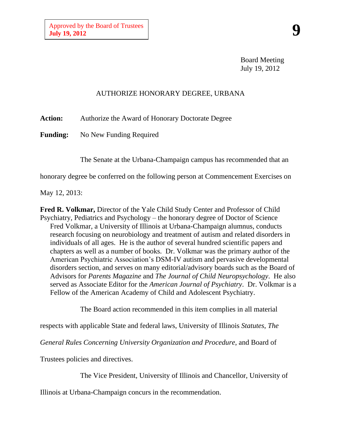Board Meeting July 19, 2012

## AUTHORIZE HONORARY DEGREE, URBANA

**Action:** Authorize the Award of Honorary Doctorate Degree

**Funding:** No New Funding Required

The Senate at the Urbana-Champaign campus has recommended that an

honorary degree be conferred on the following person at Commencement Exercises on

May 12, 2013:

**Fred R. Volkmar,** Director of the Yale Child Study Center and Professor of Child Psychiatry, Pediatrics and Psychology – the honorary degree of Doctor of Science Fred Volkmar, a University of Illinois at Urbana-Champaign alumnus, conducts research focusing on neurobiology and treatment of autism and related disorders in individuals of all ages. He is the author of several hundred scientific papers and chapters as well as a number of books. Dr. Volkmar was the primary author of the American Psychiatric Association's DSM-IV autism and pervasive developmental disorders section, and serves on many editorial/advisory boards such as the Board of Advisors for *Parents Magazine* and *The Journal of Child Neuropsychology*. He also served as Associate Editor for the *American Journal of Psychiatry*. Dr. Volkmar is a Fellow of the American Academy of Child and Adolescent Psychiatry.

The Board action recommended in this item complies in all material

respects with applicable State and federal laws, University of Illinois *Statutes*, *The* 

*General Rules Concerning University Organization and Procedure*, and Board of

Trustees policies and directives.

The Vice President, University of Illinois and Chancellor, University of

Illinois at Urbana-Champaign concurs in the recommendation.